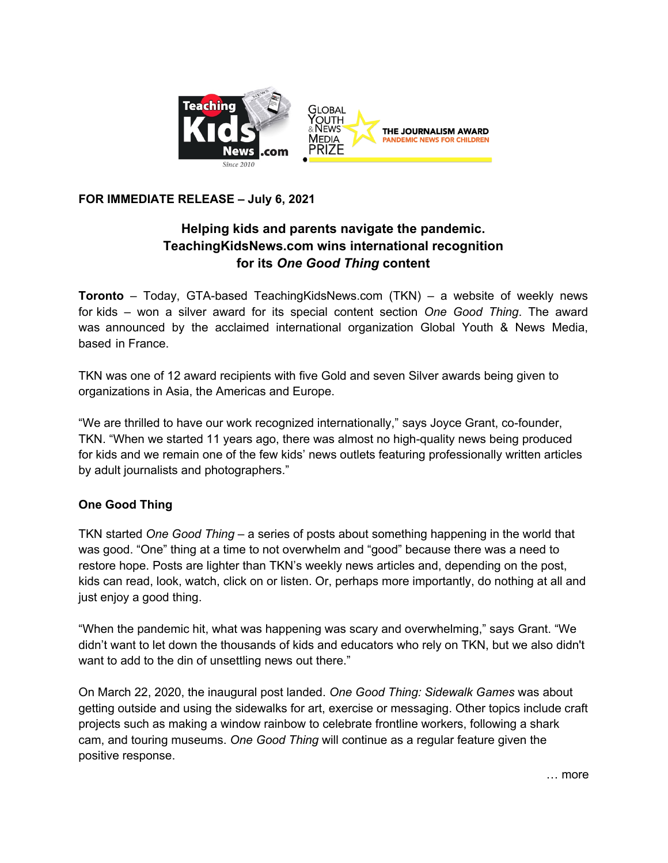

## **FOR IMMEDIATE RELEASE – July 6, 2021**

## **Helping kids and parents navigate the pandemic. TeachingKidsNews.com wins international recognition for its** *One Good Thing* **content**

**Toronto** – Today, GTA-based TeachingKidsNews.com (TKN) – a website of weekly news for kids – won a silver award for its special content section *One Good Thing*. The award was announced by the acclaimed international organization Global Youth & News Media, based in France.

TKN was one of 12 award recipients with five Gold and seven Silver awards being given to organizations in Asia, the Americas and Europe.

"We are thrilled to have our work recognized internationally," says Joyce Grant, co-founder, TKN. "When we started 11 years ago, there was almost no high-quality news being produced for kids and we remain one of the few kids' news outlets featuring professionally written articles by adult journalists and photographers."

## **One Good Thing**

TKN started *One Good Thing* – a series of posts about something happening in the world that was good. "One" thing at a time to not overwhelm and "good" because there was a need to restore hope. Posts are lighter than TKN's weekly news articles and, depending on the post, kids can read, look, watch, click on or listen. Or, perhaps more importantly, do nothing at all and just enjoy a good thing.

"When the pandemic hit, what was happening was scary and overwhelming," says Grant. "We didn't want to let down the thousands of kids and educators who rely on TKN, but we also didn't want to add to the din of unsettling news out there."

On March 22, 2020, the inaugural post landed. *One Good Thing: Sidewalk Games* was about getting outside and using the sidewalks for art, exercise or messaging. Other topics include craft projects such as making a window rainbow to celebrate frontline workers, following a shark cam, and touring museums. *One Good Thing* will continue as a regular feature given the positive response.